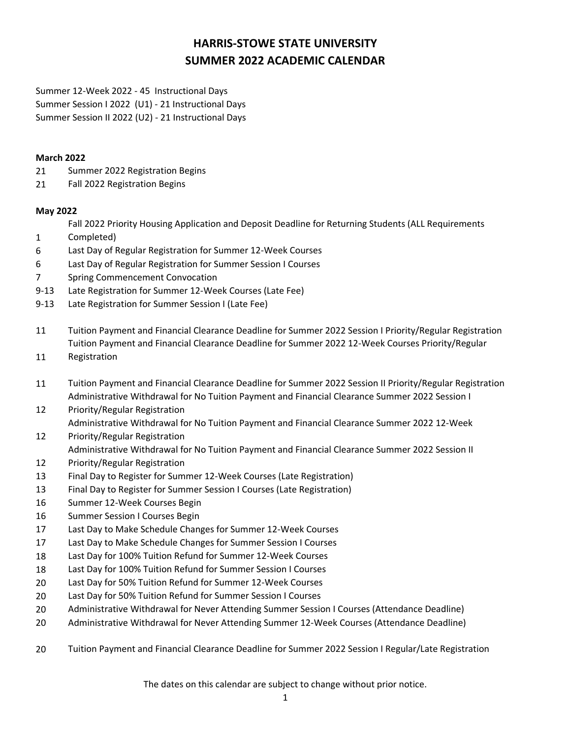# **HARRIS-STOWE STATE UNIVERSITY SUMMER 2022 ACADEMIC CALENDAR**

Summer 12-Week 2022 - 45 Instructional Days Summer Session I 2022 (U1) - 21 Instructional Days Summer Session II 2022 (U2) - 21 Instructional Days

#### **March 2022**

- 21 Summer 2022 Registration Begins
- 21 Fall 2022 Registration Begins

### **May 2022**

Fall 2022 Priority Housing Application and Deposit Deadline for Returning Students (ALL Requirements

- 1 Completed)
- 6 Last Day of Regular Registration for Summer 12-Week Courses
- 6 Last Day of Regular Registration for Summer Session I Courses
- 7 Spring Commencement Convocation
- 9-13 Late Registration for Summer 12-Week Courses (Late Fee)
- 9-13 Late Registration for Summer Session I (Late Fee)
- 11 Tuition Payment and Financial Clearance Deadline for Summer 2022 Session I Priority/Regular Registration Tuition Payment and Financial Clearance Deadline for Summer 2022 12-Week Courses Priority/Regular
- 11 Registration
- 11 Tuition Payment and Financial Clearance Deadline for Summer 2022 Session II Priority/Regular Registration Administrative Withdrawal for No Tuition Payment and Financial Clearance Summer 2022 Session I
- 12 Priority/Regular Registration Administrative Withdrawal for No Tuition Payment and Financial Clearance Summer 2022 12-Week
- 12 Priority/Regular Registration Administrative Withdrawal for No Tuition Payment and Financial Clearance Summer 2022 Session II
- 12 Priority/Regular Registration
- 13 Final Day to Register for Summer 12-Week Courses (Late Registration)
- 13 Final Day to Register for Summer Session I Courses (Late Registration)
- 16 Summer 12-Week Courses Begin
- 16 Summer Session I Courses Begin
- 17 Last Day to Make Schedule Changes for Summer 12-Week Courses
- 17 Last Day to Make Schedule Changes for Summer Session I Courses
- 18 Last Day for 100% Tuition Refund for Summer 12-Week Courses
- 18 Last Day for 100% Tuition Refund for Summer Session I Courses
- 20 Last Day for 50% Tuition Refund for Summer 12-Week Courses
- 20 Last Day for 50% Tuition Refund for Summer Session I Courses
- 20 Administrative Withdrawal for Never Attending Summer Session I Courses (Attendance Deadline)
- 20 Administrative Withdrawal for Never Attending Summer 12-Week Courses (Attendance Deadline)
- 20 Tuition Payment and Financial Clearance Deadline for Summer 2022 Session I Regular/Late Registration

The dates on this calendar are subject to change without prior notice.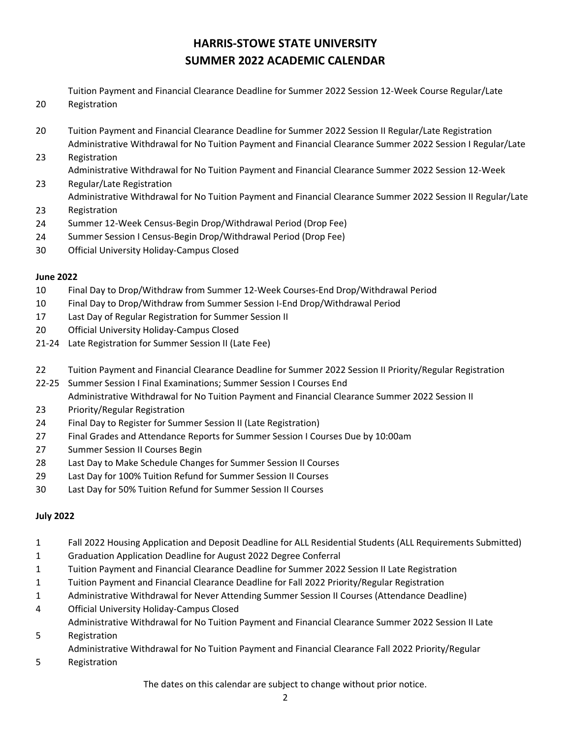## **HARRIS-STOWE STATE UNIVERSITY SUMMER 2022 ACADEMIC CALENDAR**

Tuition Payment and Financial Clearance Deadline for Summer 2022 Session 12-Week Course Regular/Late Registration

- 20 Tuition Payment and Financial Clearance Deadline for Summer 2022 Session II Regular/Late Registration Administrative Withdrawal for No Tuition Payment and Financial Clearance Summer 2022 Session I Regular/Late
- 23 Registration

Administrative Withdrawal for No Tuition Payment and Financial Clearance Summer 2022 Session 12-Week

- 23 Regular/Late Registration Administrative Withdrawal for No Tuition Payment and Financial Clearance Summer 2022 Session II Regular/Late
- 23 Registration
- 24 Summer 12-Week Census-Begin Drop/Withdrawal Period (Drop Fee)
- 24 Summer Session I Census-Begin Drop/Withdrawal Period (Drop Fee)
- 30 Official University Holiday-Campus Closed

### **June 2022**

20

- 10 Final Day to Drop/Withdraw from Summer 12-Week Courses-End Drop/Withdrawal Period
- 10 Final Day to Drop/Withdraw from Summer Session I-End Drop/Withdrawal Period
- 17 Last Day of Regular Registration for Summer Session II
- 20 Official University Holiday-Campus Closed
- 21-24 Late Registration for Summer Session II (Late Fee)
- 22 Tuition Payment and Financial Clearance Deadline for Summer 2022 Session II Priority/Regular Registration
- 22-25 Summer Session I Final Examinations; Summer Session I Courses End Administrative Withdrawal for No Tuition Payment and Financial Clearance Summer 2022 Session II
- 23 Priority/Regular Registration
- 24 Final Day to Register for Summer Session II (Late Registration)
- 27 Final Grades and Attendance Reports for Summer Session I Courses Due by 10:00am
- 27 Summer Session II Courses Begin
- 28 Last Day to Make Schedule Changes for Summer Session II Courses
- 29 Last Day for 100% Tuition Refund for Summer Session II Courses
- 30 Last Day for 50% Tuition Refund for Summer Session II Courses

### **July 2022**

- 1 Fall 2022 Housing Application and Deposit Deadline for ALL Residential Students (ALL Requirements Submitted)
- 1 Graduation Application Deadline for August 2022 Degree Conferral
- 1 Tuition Payment and Financial Clearance Deadline for Summer 2022 Session II Late Registration
- 1 Tuition Payment and Financial Clearance Deadline for Fall 2022 Priority/Regular Registration
- 1 Administrative Withdrawal for Never Attending Summer Session II Courses (Attendance Deadline)
- 4 Official University Holiday-Campus Closed
- 5 Administrative Withdrawal for No Tuition Payment and Financial Clearance Summer 2022 Session II Late Registration
	- Administrative Withdrawal for No Tuition Payment and Financial Clearance Fall 2022 Priority/Regular
- 5 Registration

The dates on this calendar are subject to change without prior notice.